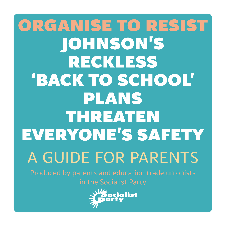## organise to resist Johnson's reckless 'back to school' plans threaten everyone's safety A guide for parents Produced by parents and education trade unionists in the Socialist Party

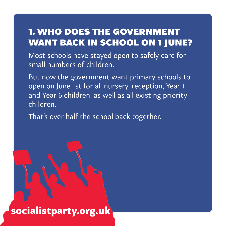#### 1. Who does the government want back in school on 1 June?

Most schools have stayed open to safely care for small numbers of children.

But now the government want primary schools to open on June 1st for all nursery, reception, Year 1 and Year 6 children, as well as all existing priority children.

That's over half the school back together.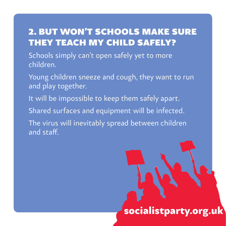#### 2. But won't schools make sure they teach my child safely?

Schools simply can't open safely yet to more children.

Young children sneeze and cough, they want to run and play together.

It will be impossible to keep them safely apart.

Shared surfaces and equipment will be infected.

The virus will inevitably spread between children and staff.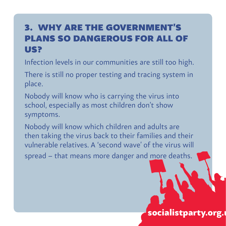#### 3. Why are the government's plans so dangerous for all of us?

Infection levels in our communities are still too high.

There is still no proper testing and tracing system in place.

Nobody will know who is carrying the virus into school, especially as most children don't show symptoms.

Nobody will know which children and adults are then taking the virus back to their families and their vulnerable relatives. A 'second wave' of the virus will spread – that means more danger and more deaths.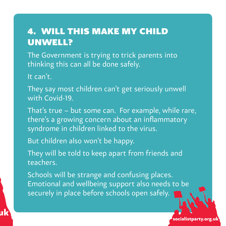#### 4. Will this make my child unwell?

The Government is trying to trick parents into thinking this can all be done safely.

It can't.

- They say most children can't get seriously unwell with Covid-19.
- That's true but some can. For example, while rare, there's a growing concern about an inflammatory syndrome in children linked to the virus.
- But children also won't be happy.

 $\mathbf{u}$ k socialistparty.org.uk socialistparty.org.uk socialistparty.org.uk socialistparty.org.uk

They will be told to keep apart from friends and teachers.

Schools will be strange and confusing places. Emotional and wellbeing support also needs to be securely in place before schools open safely.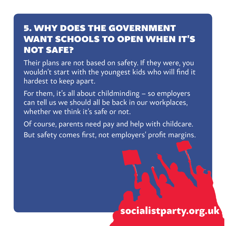#### 5. Why does the government want schools to open when it's not safe?

Their plans are not based on safety. If they were, you wouldn't start with the youngest kids who will find it hardest to keep apart.

For them, it's all about childminding – so employers can tell us we should all be back in our workplaces, whether we think it's safe or not.

Of course, parents need pay and help with childcare. But safety comes first, not employers' profit margins.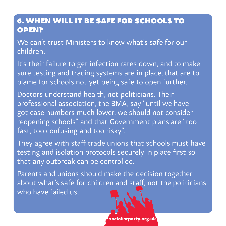#### 6. When will it be safe for schools to open?

We can't trust Ministers to know what's safe for our children.

It's their failure to get infection rates down, and to make sure testing and tracing systems are in place, that are to blame for schools not yet being safe to open further.

Doctors understand health, not politicians. Their professional association, the BMA, say "until we have got case numbers much lower, we should not consider reopening schools" and that Government plans are "too fast, too confusing and too risky".

They agree with staff trade unions that schools must have testing and isolation protocols securely in place first so that any outbreak can be controlled.

Parents and unions should make the decision together about what's safe for children and staff, not the politicians who have failed us.

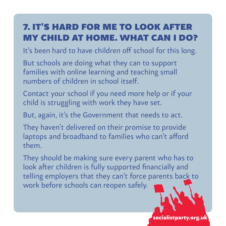#### 7. It's hard for me to look after my child at home. What can I do?

It's been hard to have children off school for this long.

But schools are doing what they can to support families with online learning and teaching small numbers of children in school itself.

Contact your school if you need more help or if your child is struggling with work they have set.

But, again, it's the Government that needs to act.

They haven't delivered on their promise to provide laptops and broadband to families who can't afford them.

They should be making sure every parent who has to look after children is fully supported financially and telling employers that they can't force parents back to work before schools can reopen safely.

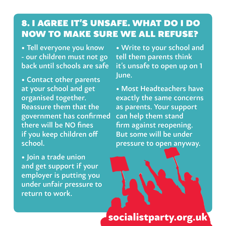#### 8. I agree it's unsafe. What do I do now to make sure we all refuse?

• Tell everyone you know - our children must not go back until schools are safe

• Contact other parents at your school and get organised together. Reassure them that the government has confirmed there will be NO fines if you keep children off school.

• Join a trade union and get support if your employer is putting you under unfair pressure to return to work.

• Write to your school and tell them parents think it's unsafe to open up on 1 June.

• Most Headteachers have exactly the same concerns as parents. Your support can help them stand firm against reopening. But some will be under pressure to open anyway.